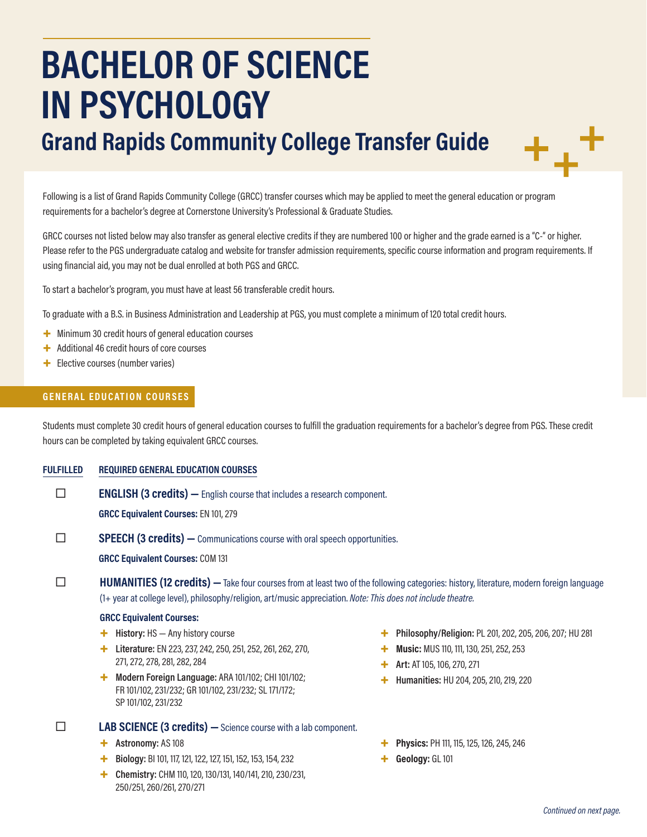# **BACHELOR OF SCIENCE IN PSYCHOLOGY**

## **Grand Rapids Community College Transfer Guide**

Following is a list of Grand Rapids Community College (GRCC) transfer courses which may be applied to meet the general education or program requirements for a bachelor's degree at Cornerstone University's Professional & Graduate Studies.

GRCC courses not listed below may also transfer as general elective credits if they are numbered 100 or higher and the grade earned is a "C-" or higher. Please refer to the PGS undergraduate catalog and website for transfer admission requirements, specific course information and program requirements. If using financial aid, you may not be dual enrolled at both PGS and GRCC.

To start a bachelor's program, you must have at least 56 transferable credit hours.

To graduate with a B.S. in Business Administration and Leadership at PGS, you must complete a minimum of 120 total credit hours.

- + Minimum 30 credit hours of general education courses
- + Additional 46 credit hours of core courses
- + Elective courses (number varies)

#### **GENERAL EDUCATION COURSES**

Students must complete 30 credit hours of general education courses to fulfill the graduation requirements for a bachelor's degree from PGS. These credit hours can be completed by taking equivalent GRCC courses.

#### **FULFILLED REQUIRED GENERAL EDUCATION COURSES**

**ENGLISH (3 credits)** — English course that includes a research component.

**GRCC Equivalent Courses:** EN 101, 279

**SPEECH (3 credits)** — Communications course with oral speech opportunities.

**GRCC Equivalent Courses:** COM 131

#### **HUMANITIES (12 credits)** — Take four courses from at least two of the following categories: history, literature, modern foreign language (1+ year at college level), philosophy/religion, art/music appreciation. *Note: This does not include theatre.*

#### **GRCC Equivalent Courses:**

- + **History:** HS Any history course
- + **Literature:** EN 223, 237, 242, 250, 251, 252, 261, 262, 270, 271, 272, 278, 281, 282, 284
- + **Modern Foreign Language:** ARA 101/102; CHI 101/102; FR 101/102, 231/232; GR 101/102, 231/232; SL 171/172; SP 101/102, 231/232

#### **LAB SCIENCE (3 credits)** - Science course with a lab component.

- + **Astronomy:** AS 108
- + **Biology:** BI 101, 117, 121, 122, 127, 151, 152, 153, 154, 232
- + **Chemistry:** CHM 110, 120, 130/131, 140/141, 210, 230/231, 250/251, 260/261, 270/271
- + **Philosophy/Religion:** PL 201, 202, 205, 206, 207; HU 281
- **Music: MUS 110, 111, 130, 251, 252, 253**
- + **Art:** AT 105, 106, 270, 271
- + **Humanities:** HU 204, 205, 210, 219, 220
- + **Physics:** PH 111, 115, 125, 126, 245, 246
- + **Geology:** GL 101